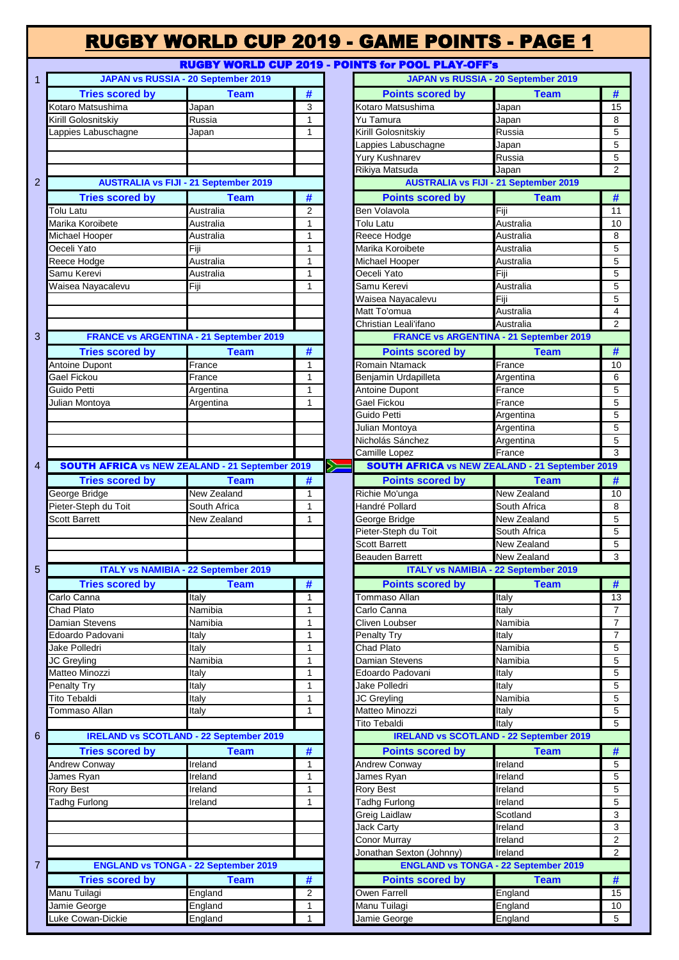### RUGBY WORLD CUP 2019 - GAME POINTS - PAGE 1 RUGBY WORLD CUP 2019 - POINT

| $\mathbf{1}$   |                                                        | JAPAN vs RUSSIA - 20 September 2019            |                |    |                                                        | JAPAN vs RUSSIA - 20 September 2019                        |                                  |
|----------------|--------------------------------------------------------|------------------------------------------------|----------------|----|--------------------------------------------------------|------------------------------------------------------------|----------------------------------|
|                | <b>Tries scored by</b>                                 | <b>Team</b>                                    | #              |    | <b>Points scored by</b>                                | <b>Team</b>                                                | #                                |
|                | Kotaro Matsushima                                      | Japan                                          | 3              |    | Kotaro Matsushima                                      | Japan                                                      | 15                               |
|                | Kirill Golosnitskiy                                    | Russia                                         | $\mathbf{1}$   |    | Yu Tamura                                              | Japan                                                      | 8                                |
|                | Lappies Labuschagne                                    | Japan                                          | $\mathbf{1}$   |    | Kirill Golosnitskiy                                    | Russia                                                     | $\overline{5}$                   |
|                |                                                        |                                                |                |    | Lappies Labuschagne                                    | Japan                                                      | $\overline{5}$                   |
|                |                                                        |                                                |                |    | Yury Kushnarev                                         | Russia                                                     | 5                                |
|                |                                                        |                                                |                |    | Rikiya Matsuda                                         | Japan                                                      | $\overline{2}$                   |
| $\overline{2}$ |                                                        | <b>AUSTRALIA vs FIJI - 21 September 2019</b>   |                |    |                                                        | <b>AUSTRALIA vs FIJI - 21 September 2019</b>               |                                  |
|                | <b>Tries scored by</b>                                 | <b>Team</b>                                    | #              |    | <b>Points scored by</b>                                | <b>Team</b>                                                | #                                |
|                | Tolu Latu                                              | Australia                                      | $\overline{2}$ |    | Ben Volavola                                           | Fiji                                                       | 11                               |
|                | Marika Koroibete                                       | Australia                                      | $\mathbf{1}$   |    | Tolu Latu                                              | Australia                                                  | 10                               |
|                | Michael Hooper                                         | Australia                                      | $\mathbf{1}$   |    | Reece Hodge                                            | Australia                                                  | 8                                |
|                | Oeceli Yato                                            | Fiji                                           | $\mathbf{1}$   |    | Marika Koroibete                                       | Australia                                                  | 5                                |
|                | Reece Hodge                                            | Australia                                      | $\mathbf{1}$   |    | Michael Hooper                                         | Australia                                                  | $\overline{5}$                   |
|                | Samu Kerevi                                            | Australia                                      | $\mathbf{1}$   |    | Oeceli Yato                                            | Fiji                                                       | 5                                |
|                | Waisea Nayacalevu                                      | Fiji                                           | 1              |    | Samu Kerevi                                            | Australia                                                  | $\overline{5}$                   |
|                |                                                        |                                                |                |    | Waisea Nayacalevu                                      | Fiji                                                       | $\overline{5}$                   |
|                |                                                        |                                                |                |    | Matt To'omua                                           | Australia                                                  | $\overline{4}$                   |
|                |                                                        |                                                |                |    | Christian Leali'ifano                                  | Australia                                                  | $\overline{2}$                   |
| 3              |                                                        | <b>FRANCE vs ARGENTINA - 21 September 2019</b> |                |    |                                                        | <b>FRANCE vs ARGENTINA - 21 September 2019</b>             |                                  |
|                | <b>Tries scored by</b>                                 | <b>Team</b>                                    | #              |    | <b>Points scored by</b>                                | <b>Team</b>                                                | #                                |
|                | <b>Antoine Dupont</b>                                  | France                                         | $\mathbf{1}$   |    | Romain Ntamack                                         | France                                                     | 1 <sup>C</sup>                   |
|                | Gael Fickou                                            | France                                         | $\mathbf{1}$   |    | Benjamin Urdapilleta                                   | Argentina                                                  | 6                                |
|                | Guido Petti                                            | Argentina                                      | $\mathbf{1}$   |    | <b>Antoine Dupont</b>                                  | France                                                     | 5                                |
|                | Julian Montoya                                         | Argentina                                      | 1              |    | Gael Fickou                                            | France                                                     | $\overline{5}$                   |
|                |                                                        |                                                |                |    | Guido Petti                                            | Argentina                                                  | $\overline{5}$                   |
|                |                                                        |                                                |                |    | Julian Montoya                                         | Argentina                                                  | $\overline{5}$                   |
|                |                                                        |                                                |                |    | Nicholás Sánchez                                       | Argentina                                                  | $\overline{5}$                   |
|                |                                                        |                                                |                |    | Camille Lopez                                          | France                                                     | $\overline{\mathbf{3}}$          |
| $\overline{4}$ | <b>SOUTH AFRICA vs NEW ZEALAND - 21 September 2019</b> |                                                |                | ╳═ | <b>SOUTH AFRICA vs NEW ZEALAND - 21 September 2019</b> |                                                            |                                  |
|                | <b>Tries scored by</b>                                 | <b>Team</b>                                    | #              |    | <b>Points scored by</b>                                | <b>Team</b>                                                | #                                |
|                | George Bridge                                          | <b>New Zealand</b>                             | $\mathbf{1}$   |    | Richie Mo'unga                                         | <b>New Zealand</b>                                         | 10                               |
|                | Pieter-Steph du Toit                                   | South Africa                                   | 1              |    | Handré Pollard                                         | South Africa                                               | 8                                |
|                | <b>Scott Barrett</b>                                   | New Zealand                                    | 1              |    | George Bridge                                          | New Zealand                                                | $\overline{5}$                   |
|                |                                                        |                                                |                |    | Pieter-Steph du Toit                                   | South Africa                                               | $\overline{5}$                   |
|                |                                                        |                                                |                |    | <b>Scott Barrett</b>                                   | New Zealand                                                | $\overline{5}$                   |
|                |                                                        |                                                |                |    | Beauden Barrett                                        | New Zealand<br><b>ITALY vs NAMIBIA - 22 September 2019</b> | $\overline{\mathbf{3}}$          |
| 5              |                                                        | <b>ITALY vs NAMIBIA - 22 September 2019</b>    |                |    |                                                        | T <sub>ram</sub>                                           |                                  |
|                | <b>Tries scored by</b>                                 | <b>Team</b>                                    | - #            |    | <b>Points scored by</b>                                |                                                            | - #                              |
|                | Carlo Canna                                            | Italy                                          | 1              |    | Tommaso Allan                                          | Italy                                                      | $\overline{13}$                  |
|                | Chad Plato                                             | Namibia                                        | $\mathbf{1}$   |    | Carlo Canna                                            | Italy                                                      | $\overline{7}$                   |
|                | Damian Stevens                                         | Namibia                                        | 1              |    | Cliven Loubser                                         | Namibia                                                    | $\overline{7}$                   |
|                | Edoardo Padovani                                       | Italy                                          | 1              |    | Penalty Try                                            | Italy                                                      | $\overline{7}$<br>$\overline{5}$ |
|                | Jake Polledri                                          | Italy<br>Namibia                               | 1<br>1         |    | Chad Plato<br>Damian Stevens                           | Namibia<br>Namibia                                         | $\overline{5}$                   |
|                | JC Greyling<br>Matteo Minozzi                          | Italy                                          | 1              |    | Edoardo Padovani                                       |                                                            | 5                                |
|                | Penalty Try                                            | Italy                                          | $\mathbf{1}$   |    | Jake Polledri                                          | Italy<br>Italy                                             | $\overline{5}$                   |
|                | <b>Tito Tebaldi</b>                                    | Italy                                          | 1              |    | JC Greyling                                            | Namibia                                                    | 5                                |
|                | Tommaso Allan                                          | Italy                                          | $\mathbf{1}$   |    | Matteo Minozzi                                         | Italy                                                      | 5                                |
|                |                                                        |                                                |                |    | <b>Tito Tebaldi</b>                                    | Italy                                                      | 5                                |
| $6\phantom{a}$ |                                                        | <b>IRELAND vs SCOTLAND - 22 September 2019</b> |                |    |                                                        | <b>IRELAND vs SCOTLAND - 22 September 2019</b>             |                                  |
|                |                                                        |                                                |                |    |                                                        |                                                            |                                  |
|                | <b>Tries scored by</b>                                 | <b>Team</b>                                    | #              |    | <b>Points scored by</b>                                | <b>Team</b>                                                | #<br>$\overline{5}$              |
|                | Andrew Conway<br>James Ryan                            | Ireland<br>Ireland                             | 1<br>1         |    | Andrew Conway<br>James Ryan                            | Ireland<br>Ireland                                         | $\overline{5}$                   |
|                | <b>Rory Best</b>                                       | Ireland                                        | 1              |    | Rory Best                                              | Ireland                                                    | 5                                |
|                | <b>Tadhg Furlong</b>                                   | Ireland                                        | $\mathbf{1}$   |    | Tadhg Furlong                                          | Ireland                                                    | $\overline{5}$                   |
|                |                                                        |                                                |                |    | Greig Laidlaw                                          | Scotland                                                   | $\mathbf{3}$                     |
|                |                                                        |                                                |                |    | <b>Jack Carty</b>                                      | Ireland                                                    | $\overline{3}$                   |
|                |                                                        |                                                |                |    | Conor Murray                                           | Ireland                                                    | $\overline{2}$                   |
|                |                                                        |                                                |                |    | Jonathan Sexton (Johnny)                               | Ireland                                                    | $\overline{2}$                   |
| $\overline{7}$ |                                                        | <b>ENGLAND vs TONGA - 22 September 2019</b>    |                |    |                                                        | <b>ENGLAND vs TONGA - 22 September 2019</b>                |                                  |
|                | <b>Tries scored by</b>                                 | <b>Team</b>                                    |                |    | <b>Points scored by</b>                                | <b>Team</b>                                                | #                                |
|                | Manu Tuilagi                                           | England                                        | #<br>2         |    | Owen Farrell                                           | England                                                    | 15                               |
|                | Jamie George                                           | England                                        | 1              |    | Manu Tuilagi                                           | England                                                    | 10                               |
|                | Luke Cowan-Dickie                                      | England                                        | $\mathbf{1}$   |    | Jamie George                                           | England                                                    | 5                                |
|                |                                                        |                                                |                |    |                                                        |                                                            |                                  |

|                                                      |                |              |   | RUGDT MURLD COF ZOTS - FUINTS TOT FOOL FEAT-OFF S      |                    |                |
|------------------------------------------------------|----------------|--------------|---|--------------------------------------------------------|--------------------|----------------|
| JAPAN vs RUSSIA - 20 September 2019                  |                |              |   | JAPAN vs RUSSIA - 20 September 2019                    |                    |                |
| <b>Tries scored by</b>                               | <b>Team</b>    | #            |   | <b>Points scored by</b>                                | <b>Team</b>        | #              |
| Matsushima                                           | Japan          | 3            |   | Kotaro Matsushima                                      | Japan              | 15             |
| <b>Josnitskiy</b>                                    | Russia         | $\mathbf{1}$ |   | Yu Tamura                                              | Japan              | 8              |
| <b>Labuschagne</b>                                   | Japan          | $\mathbf{1}$ |   | Kirill Golosnitskiv                                    | Russia             | 5              |
|                                                      |                |              |   | Lappies Labuschagne                                    | Japan              | 5              |
|                                                      |                |              |   | Yury Kushnarev                                         | Russia             | 5              |
|                                                      |                |              |   | Rikiya Matsuda                                         | Japan              | 2              |
| <b>AUSTRALIA vs FIJI - 21 September 2019</b>         |                |              |   | <b>AUSTRALIA vs FIJI - 21 September 2019</b>           |                    |                |
| <b>Tries scored by</b>                               | <b>Team</b>    | #            |   | <b>Points scored by</b>                                | <b>Team</b>        | #              |
| tu                                                   | Australia      | 2            |   | Ben Volavola                                           | Fiji               | 11             |
| Koroibete                                            | Australia      | $\mathbf{1}$ |   | Tolu Latu                                              | Australia          | 10             |
| Hooper                                               | Australia      | $\mathbf{1}$ |   | Reece Hodge                                            | Australia          | 8              |
| Yato                                                 | Fiji           | 1            |   | Marika Koroibete                                       | Australia          | 5              |
| Hodge                                                | Australia      | $\mathbf{1}$ |   | Michael Hooper                                         | Australia          | 5              |
| <b>Cerevi</b>                                        | Australia      | $\mathbf{1}$ |   | Oeceli Yato                                            | Fiji               | 5              |
| Nayacalevu                                           | Fiji           | 1            |   | Samu Kerevi                                            | Australia          | 5              |
|                                                      |                |              |   | Waisea Nayacalevu                                      | Fiji               | 5              |
|                                                      |                |              |   | Matt To'omua                                           | Australia          | 4              |
|                                                      |                |              |   | Christian Leali'ifano                                  | Australia          | $\overline{2}$ |
| <b>FRANCE vs ARGENTINA - 21 September 2019</b>       |                |              |   | <b>FRANCE vs ARGENTINA - 21 September 2019</b>         |                    |                |
| <b>Tries scored by</b>                               | <b>Team</b>    | #            |   | <b>Points scored by</b>                                | <b>Team</b>        | #              |
| <b>Dupont</b>                                        | France         | 1            |   | Romain Ntamack                                         | France             | 10             |
| ckou                                                 | France         | $\mathbf{1}$ |   | Benjamin Urdapilleta                                   | Argentina          | 6              |
| Petti                                                | Argentina      | $\mathbf{1}$ |   | <b>Antoine Dupont</b>                                  | France             | 5              |
| <b>Tontoya</b>                                       | Argentina      | $\mathbf{1}$ |   | Gael Fickou                                            | France             | 5              |
|                                                      |                |              |   | Guido Petti                                            | Argentina          | 5              |
|                                                      |                |              |   | Julian Montoya                                         | Argentina          | 5              |
|                                                      |                |              |   | Nicholás Sánchez                                       | Argentina          | 5              |
|                                                      |                |              |   | Camille Lopez                                          | France             | 3              |
| <b>ITH AFRICA vs NEW ZEALAND - 21 September 2019</b> |                |              | Ň | <b>SOUTH AFRICA vs NEW ZEALAND - 21 September 2019</b> |                    |                |
| <b>Tries scored by</b>                               | <b>Team</b>    | #            |   | <b>Points scored by</b>                                | <b>Team</b>        | #              |
| <b>Bridge</b>                                        | New Zealand    | 1            |   | Richie Mo'unga                                         | <b>New Zealand</b> | 10             |
| Steph du Toit                                        | South Africa   | $\mathbf{1}$ |   | Handré Pollard                                         | South Africa       | 8              |
| arrett                                               | New Zealand    | $\mathbf{1}$ |   | George Bridge                                          | New Zealand        | 5              |
|                                                      |                |              |   | Pieter-Steph du Toit                                   | South Africa       | 5              |
|                                                      |                |              |   | <b>Scott Barrett</b>                                   | <b>New Zealand</b> | 5              |
|                                                      |                |              |   | <b>Beauden Barrett</b>                                 | New Zealand        | 3              |
| <b>ITALY vs NAMIBIA - 22 September 2019</b>          |                |              |   | <b>ITALY vs NAMIBIA - 22 September 2019</b>            |                    |                |
| <b>Tries scored by</b>                               | <b>Team</b>    | #            |   | <b>Points scored by</b>                                | <b>Team</b>        | #              |
| anna                                                 | Italy          | 1            |   | Tommaso Allan                                          | Italy              | 13             |
| lato                                                 | Namibia        | 1            |   | Carlo Canna                                            | Italy              | 7              |
| Stevens                                              | Namibia        | 1            |   | Cliven Loubser                                         | Namibia            | 7              |
| o Padovani                                           | Italy          | 1            |   | Penalty Try                                            | Italy              | 7              |
| blledri                                              | Italy          | 1            |   | Chad Plato                                             | Namibia            | 5              |
| yling                                                | Namibia        | 1            |   | <b>Damian Stevens</b>                                  | Namibia            | 5              |
| Minozzi                                              | Italy          | 1            |   | Edoardo Padovani                                       | Italy              | 5              |
| Try                                                  | <b>Italy</b>   | $\mathbf{1}$ |   | Jake Polledri                                          | Italy              | 5              |
| blac                                                 | Italy          | 1            |   | JC Greyling                                            | Namibia            | 5              |
| ıso Allan                                            | Italy          | 1            |   | Matteo Minozzi                                         | Italy              | 5              |
|                                                      |                |              |   | <b>Tito Tebaldi</b>                                    | Italy              | 5              |
| <b>IRELAND vs SCOTLAND - 22 September 2019</b>       |                |              |   | <b>IRELAND vs SCOTLAND - 22 September 2019</b>         |                    |                |
| <b>Tries scored by</b>                               | <b>Team</b>    | #            |   | <b>Points scored by</b>                                | <b>Team</b>        | #              |
| Conway                                               | Ireland        | 1            |   | Andrew Conway                                          | Ireland            | 5              |
| Ryan                                                 | Ireland        | 1            |   | James Ryan                                             | Ireland            | 5              |
| est                                                  | Ireland        | 1            |   | <b>Rory Best</b>                                       | Ireland            | 5              |
| Furlong                                              | Ireland        | $\mathbf{1}$ |   | <b>Tadhg Furlong</b>                                   | Ireland            | 5              |
|                                                      |                |              |   | Greig Laidlaw                                          | Scotland           | 3              |
|                                                      |                |              |   | <b>Jack Carty</b>                                      | Ireland            | 3              |
|                                                      |                |              |   | Conor Murray                                           | Ireland            | 2              |
|                                                      |                |              |   | Jonathan Sexton (Johnny)                               | Ireland            | $\overline{2}$ |
| <b>ENGLAND vs TONGA - 22 September 2019</b>          |                |              |   | <b>ENGLAND vs TONGA - 22 September 2019</b>            |                    |                |
| <b>Tries scored by</b>                               | <b>Team</b>    | #            |   | <b>Points scored by</b>                                | <b>Team</b>        | #              |
| uilagi                                               | England        | 2            |   | Owen Farrell                                           | England            | 15             |
| George                                               | England        | 1            |   | Manu Tuilagi                                           | England            | 10             |
| awan-Dickie                                          | <b>England</b> | 1            |   | Iamie George                                           | <b>England</b>     | $\sqrt{2}$     |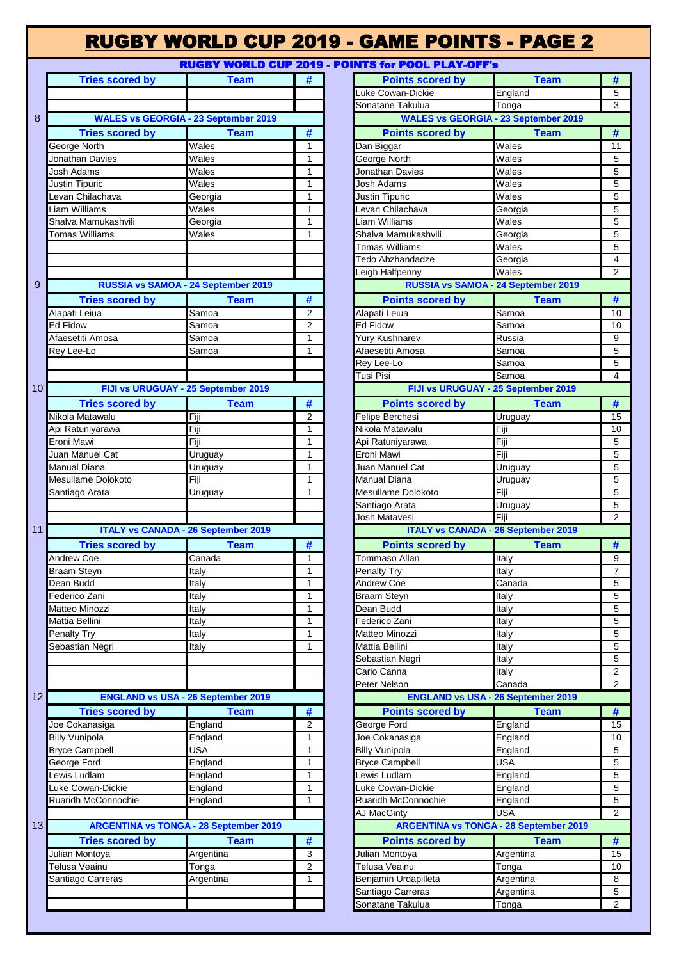# RUGBY WORLD CUP 2019 - GAME POINTS - PAGE 2

#### RUGBY WORLD CUP 2019 - POINT

|                 | <b>Tries scored by</b> | <b>Team</b>                                   | #                 | <b>Points scored by</b>                       | <b>Team</b>           | #                       |
|-----------------|------------------------|-----------------------------------------------|-------------------|-----------------------------------------------|-----------------------|-------------------------|
|                 |                        |                                               |                   | uke Cowan-Dickie                              | England               | $\overline{5}$          |
|                 |                        |                                               |                   | Sonatane Takulua                              | Tonga                 | $\overline{\mathbf{3}}$ |
| 8               |                        | <b>WALES vs GEORGIA - 23 September 2019</b>   |                   | <b>WALES vs GEORGIA - 23 September 2019</b>   |                       |                         |
|                 | <b>Tries scored by</b> | <b>Team</b>                                   | #                 | <b>Points scored by</b>                       | <b>Team</b>           | #                       |
|                 | <b>George North</b>    | Wales                                         | 1                 | Dan Biggar                                    | Wales                 | 11                      |
|                 | Jonathan Davies        | Wales                                         | $\mathbf{1}$      | <b>George North</b>                           | Wales                 | 5                       |
|                 | Josh Adams             | Wales                                         | 1                 | Jonathan Davies                               | Wales                 | 5                       |
|                 | Justin Tipuric         | Wales                                         | 1                 | Josh Adams                                    | Wales                 | 5                       |
|                 | Levan Chilachava       | Georgia                                       | 1                 | Justin Tipuric                                | Wales                 | $\overline{5}$          |
|                 | Liam Williams          | Wales                                         | 1                 | Levan Chilachava                              | Georgia               | 5                       |
|                 | Shalva Mamukashvili    | Georgia                                       | $\mathbf{1}$      | Liam Williams                                 | Wales                 | 5                       |
|                 | Tomas Williams         | Wales                                         | $\mathbf{1}$      | Shalva Mamukashvili                           | Georgia               | 5                       |
|                 |                        |                                               |                   | Tomas Williams                                | Wales                 | 5                       |
|                 |                        |                                               |                   | <b>Fedo Abzhandadze</b>                       | Georgia               | $\overline{4}$          |
|                 |                        |                                               |                   | eigh Halfpenny                                | Wales                 | $\overline{2}$          |
| 9               |                        | RUSSIA vs SAMOA - 24 September 2019           |                   | RUSSIA vs SAMOA - 24 September 2019           |                       |                         |
|                 | <b>Tries scored by</b> | <b>Team</b>                                   | #                 | <b>Points scored by</b>                       | <b>Team</b>           | #                       |
|                 | Alapati Leiua          | Samoa                                         | 2                 | Alapati Leiua                                 | Samoa                 | 10                      |
|                 | Ed Fidow               | Samoa                                         | $\overline{2}$    | <b>Ed Fidow</b>                               | Samoa                 | 1 <sup>C</sup>          |
|                 | Afaesetiti Amosa       | Samoa                                         | $\mathbf{1}$      | Yurv Kushnarev                                | Russia                | $\boldsymbol{9}$        |
|                 | Rey Lee-Lo             | Samoa                                         | $\mathbf{1}$      | Afaesetiti Amosa                              | Samoa                 | 5                       |
|                 |                        |                                               |                   | Rey Lee-Lo                                    | Samoa                 | 5                       |
|                 |                        |                                               |                   | Tusi Pisi                                     | Samoa                 | $\overline{4}$          |
| 10 <sup>1</sup> |                        | FIJI vs URUGUAY - 25 September 2019           |                   | FIJI vs URUGUAY - 25 September 2019           |                       |                         |
|                 |                        |                                               |                   |                                               |                       |                         |
|                 | <b>Tries scored by</b> | <b>Team</b>                                   | #                 | <b>Points scored by</b>                       | <b>Team</b>           | #                       |
|                 | Nikola Matawalu        | Fiji                                          | $\overline{2}$    | Felipe Berchesi                               | Uruguay               | 15                      |
|                 | Api Ratuniyarawa       | Fiji                                          | 1                 | Nikola Matawalu                               | Fiji                  | 10                      |
|                 | Eroni Mawi             | Fiji                                          | $\mathbf{1}$      | Api Ratuniyarawa                              | Fiji                  | 5                       |
|                 | Juan Manuel Cat        | Uruguay                                       | $\mathbf{1}$      | Eroni Mawi                                    | Fiji                  | 5                       |
|                 | <b>Manual Diana</b>    | Uruguay                                       | $\mathbf{1}$      | Juan Manuel Cat                               | Uruguay               | 5                       |
|                 | Mesullame Dolokoto     | Fiji                                          | $\mathbf{1}$      | Manual Diana                                  | Uruguay               | $\overline{5}$          |
|                 | Santiago Arata         | Uruguay                                       | 1                 | Mesullame Dolokoto                            | Fiji                  | $\overline{5}$          |
|                 |                        |                                               |                   | Santiago Arata                                | Uruguay               | $\overline{5}$          |
|                 |                        |                                               |                   | Josh Matavesi                                 | Fiji                  | $\overline{2}$          |
| 11              |                        | <b>ITALY vs CANADA - 26 September 2019</b>    |                   | <b>ITALY vs CANADA - 26 September 2019</b>    |                       |                         |
|                 | <b>Tries scored by</b> | <b>Team</b>                                   | #                 | <b>Points scored by</b>                       | <b>Team</b>           | #                       |
|                 | <b>Andrew Coe</b>      | Canada                                        | 1                 | Tommaso Allan                                 | Italy                 | 9                       |
|                 | <b>Braam Steyn</b>     | Italy                                         | $\mathbf{1}$      | Penalty Try                                   | Italy                 | $\overline{7}$          |
|                 | Dean Budd              | Italy                                         | $\mathbf{1}$      | Andrew Coe                                    | Canada                | $\overline{5}$          |
|                 | Federico Zani          | Italy                                         | $\mathbf{1}$      | <b>Braam Steyn</b>                            | Italy                 | 5                       |
|                 | Matteo Minozzi         | Italy                                         | $\mathbf{1}$      | Dean Budd                                     | Italy                 | 5                       |
|                 | Mattia Bellini         | Italy                                         | 1                 | Federico Zani                                 | Italy                 | $\overline{5}$          |
|                 | Penalty Try            | Italy                                         | $\mathbf{1}$      | Matteo Minozzi                                | Italy                 | $\overline{5}$          |
|                 | Sebastian Negri        | Italy                                         | $\mathbf{1}$      | Mattia Bellini                                | Italy                 | 5                       |
|                 |                        |                                               |                   | Sebastian Negri                               | Italy                 | $\sqrt{5}$              |
|                 |                        |                                               |                   | Carlo Canna                                   | Italy                 | $\overline{2}$          |
|                 |                        |                                               |                   | Peter Nelson                                  | Canada                | $\overline{2}$          |
| 12              |                        | <b>ENGLAND vs USA - 26 September 2019</b>     |                   | <b>ENGLAND vs USA - 26 September 2019</b>     |                       |                         |
|                 | <b>Tries scored by</b> | <b>Team</b>                                   | #                 | <b>Points scored by</b>                       | <b>Team</b>           | #                       |
|                 | Joe Cokanasiga         | England                                       | 2                 | George Ford                                   | England               | 15                      |
|                 |                        |                                               |                   |                                               |                       |                         |
|                 | <b>Billy Vunipola</b>  | England<br>USA                                | 1<br>$\mathbf{1}$ | Joe Cokanasiga                                | England               | 1 <sup>C</sup><br>5     |
|                 | <b>Bryce Campbell</b>  |                                               | $\mathbf{1}$      | <b>Billy Vunipola</b>                         | England<br><b>USA</b> |                         |
|                 | George Ford            | England                                       |                   | <b>Bryce Campbell</b>                         |                       | 5                       |
|                 | Lewis Ludlam           | England                                       | 1                 | Lewis Ludlam                                  | England               | $\sqrt{5}$              |
|                 | Luke Cowan-Dickie      | England                                       | 1                 | Luke Cowan-Dickie                             | England               | 5                       |
|                 | Ruaridh McConnochie    | England                                       | 1                 | Ruaridh McConnochie                           | England               | 5                       |
|                 |                        |                                               |                   | AJ MacGinty                                   | <b>USA</b>            | $\overline{2}$          |
| 13 <sub>1</sub> |                        | <b>ARGENTINA vs TONGA - 28 September 2019</b> |                   | <b>ARGENTINA vs TONGA - 28 September 2019</b> |                       |                         |
|                 | <b>Tries scored by</b> | <b>Team</b>                                   | #                 | <b>Points scored by</b>                       | <b>Team</b>           | #                       |
|                 | Julian Montoya         | Argentina                                     | 3                 | Julian Montoya                                | Argentina             | 15                      |
|                 | Telusa Veainu          | _<br>Tonga                                    | 2                 | Telusa Veainu                                 | Tonga                 | 10                      |
|                 | Santiago Carreras      | Argentina                                     | $\mathbf{1}$      | Benjamin Urdapilleta                          | Argentina             | 8                       |
|                 |                        |                                               |                   | Santiago Carreras                             | Argentina             | 5                       |
|                 |                        |                                               |                   | Sonatane Takulua                              | Tonga                 | $\overline{2}$          |
|                 |                        |                                               |                   |                                               |                       |                         |

|                              |                                               |                | <u>RUGBT WURLD CUF ZUIS " FUIRTS IUF FUUL FLAT"UFF S</u>    |                     |
|------------------------------|-----------------------------------------------|----------------|-------------------------------------------------------------|---------------------|
| <b>Tries scored by</b>       | <b>Team</b>                                   | #              | <b>Team</b><br><b>Points scored by</b>                      | #                   |
|                              |                                               |                | Luke Cowan-Dickie<br>England                                | 5                   |
|                              |                                               |                | Sonatane Takulua<br>Tonga                                   | 3                   |
|                              | <b>WALES vs GEORGIA - 23 September 2019</b>   |                | <b>WALES vs GEORGIA - 23 September 2019</b>                 |                     |
| <b>Tries scored by</b>       | <b>Team</b>                                   | #              | <b>Points scored by</b><br><b>Team</b>                      | #                   |
| North                        | Wales                                         | 1              | Wales<br>Dan Biggar                                         | 11                  |
| an Davies                    | Wales                                         | 1              | Wales<br><b>George North</b>                                | 5                   |
| dams                         | $\overline{\mathsf{W}}$ ales                  | 1              | Wales<br>Jonathan Davies                                    | 5                   |
| ipuric                       | Wales                                         | 1              | Wales<br>Josh Adams                                         | 5                   |
| Chilachava                   | Georgia                                       | 1              | Wales<br>Justin Tipuric                                     | 5                   |
| 'illiams                     | Wales                                         | 1              | Levan Chilachava<br>Georgia                                 | 5                   |
| Mamukashvili                 | Georgia                                       | 1              | Liam Williams<br>Wales                                      | 5                   |
| $\overline{\text{Williams}}$ | Wales                                         | 1              | Shalva Mamukashvili<br>Georgia                              | 5                   |
|                              |                                               |                | Wales<br>Tomas Williams                                     | 5                   |
|                              |                                               |                | <b>Tedo Abzhandadze</b><br>Georgia                          | 4                   |
|                              |                                               |                | Wales<br>eigh Halfpenny.                                    | 2                   |
|                              | RUSSIA vs SAMOA - 24 September 2019           |                | RUSSIA vs SAMOA - 24 September 2019                         |                     |
| <b>Tries scored by</b>       | <b>Team</b>                                   | #              | <b>Points scored by</b><br><b>Team</b>                      | #                   |
| Leiua                        | Samoa                                         | 2              | Alapati Leiua<br>Samoa                                      | 10                  |
| W                            | Samoa                                         | $\overline{2}$ | <b>Ed Fidow</b><br>Samoa                                    | 10                  |
| iti Amosa                    | Samoa                                         | 1              | Yury Kushnarev<br>Russia                                    | 9                   |
| ə-Lo                         | Samoa                                         | 1              | Afaesetiti Amosa<br>Samoa                                   | 5                   |
|                              |                                               |                | Rey Lee-Lo<br>Samoa                                         | 5                   |
|                              |                                               |                | Tusi Pisi<br>Samoa                                          | 4                   |
|                              | FIJI vs URUGUAY - 25 September 2019           |                | FIJI vs URUGUAY - 25 September 2019                         |                     |
| <b>Tries scored by</b>       | <b>Team</b>                                   | #              | <b>Points scored by</b><br><b>Team</b>                      | #                   |
| Matawalu                     | Fiji                                          | $\overline{2}$ | Felipe Berchesi<br>Uruguay                                  | 15                  |
| uniyarawa                    | Fiji                                          | 1              | Nikola Matawalu<br>Fiji                                     | 10                  |
| lawi                         | Fiji                                          | 1              | Api Ratuniyarawa<br>Fiji                                    | 5                   |
| anuel Cat                    | Uruguay                                       | 1              | Fiji<br>Eroni Mawi                                          | 5                   |
| Diana                        | Uruguay                                       | 1              | Juan Manuel Cat<br>Uruguay                                  | 5                   |
| me Dolokoto                  | Fiji                                          | 1              | <b>Manual Diana</b><br>Uruguay                              | 5                   |
| o Arata                      | Uruguay                                       | 1              | Fiji<br>Mesullame Dolokoto                                  | 5                   |
|                              |                                               |                | Santiago Arata<br>Uruguay                                   | 5                   |
|                              |                                               |                | Fiji<br>Josh Matavesi                                       | $\overline{2}$      |
|                              | <b>ITALY vs CANADA - 26 September 2019</b>    |                | <b>ITALY vs CANADA - 26 September 2019</b>                  |                     |
| <b>Tries scored by</b>       | <b>Team</b>                                   | #              | <b>Points scored by</b><br><b>Team</b>                      | #                   |
| Coe                          | Canada                                        | 1              | Tommaso Allan<br>Italy                                      | 9                   |
| Steyn                        | Italy                                         | 1              | Italy<br>Penalty Try                                        | $\overline{7}$      |
| udd                          | Italy                                         | 1              | Canada<br><b>Andrew Coe</b>                                 | 5                   |
| o Zani                       | Italy                                         | $\mathbf{1}$   | <b>Braam Steyn</b><br>Italy                                 | 5                   |
| Minozzi                      | Italy                                         | 1              | Dean Budd<br>Italy                                          | 5                   |
| Bellini                      | Italy                                         | 1              | Federico Zani<br>Italy                                      | 5                   |
| Try                          | Italy                                         | 1              | Matteo Minozzi<br>Italy                                     | 5                   |
| an Negri                     | Italy                                         | 1              | Italy<br>Mattia Bellini                                     | 5                   |
|                              |                                               |                | Sebastian Negri<br>Italy                                    | 5                   |
|                              |                                               |                | Carlo Canna<br>Italy                                        | $\overline{2}$      |
|                              |                                               |                | Canada<br>Peter Nelson                                      | $\overline{2}$      |
|                              | <b>ENGLAND vs USA - 26 September 2019</b>     |                | <b>ENGLAND vs USA - 26 September 2019</b>                   |                     |
| <b>Tries scored by</b>       | <b>Team</b>                                   | #              | <b>Points scored by</b><br><b>Team</b>                      | #                   |
|                              |                                               |                |                                                             |                     |
| kanasiga                     | England                                       | 2<br>1         | George Ford<br>England<br>Joe Cokanasiga                    | 15                  |
| nipola                       | England<br>USA                                | 1              | England<br><b>Billy Vunipola</b>                            | 10<br>5             |
| ampbell<br>Ford              | England                                       | 1              | England<br><b>USA</b><br><b>Bryce Campbell</b>              | 5                   |
| udlam                        | England                                       | 1              | Lewis Ludlam<br>England                                     | 5                   |
| owan-Dickie                  | England                                       | 1              | Luke Cowan-Dickie<br>England                                | 5                   |
| McConnochie                  |                                               | 1              | Ruaridh McConnochie                                         | 5                   |
|                              | England                                       |                | England<br><b>USA</b><br>AJ MacGinty                        | 2                   |
|                              |                                               |                |                                                             |                     |
|                              | <b>ARGENTINA vs TONGA - 28 September 2019</b> |                | <b>ARGENTINA vs TONGA - 28 September 2019</b>               |                     |
| <b>Tries scored by</b>       | <b>Team</b>                                   | #              | <b>Points scored by</b><br><b>Team</b>                      | #                   |
| <i>Aontoya</i>               | Argentina                                     | 3              | Julian Montoya<br>Argentina                                 | 15                  |
|                              |                                               |                |                                                             |                     |
|                              | Tonga                                         | $\overline{2}$ | Telusa Veainu<br>Tonga                                      | 10                  |
|                              | Argentina                                     | 1              | Benjamin Urdapilleta<br>Argentina                           | 8                   |
| Veainu<br>o Carreras         |                                               |                | Santiago Carreras<br>Argentina<br>Sonatane Takulua<br>Tonga | 5<br>$\overline{2}$ |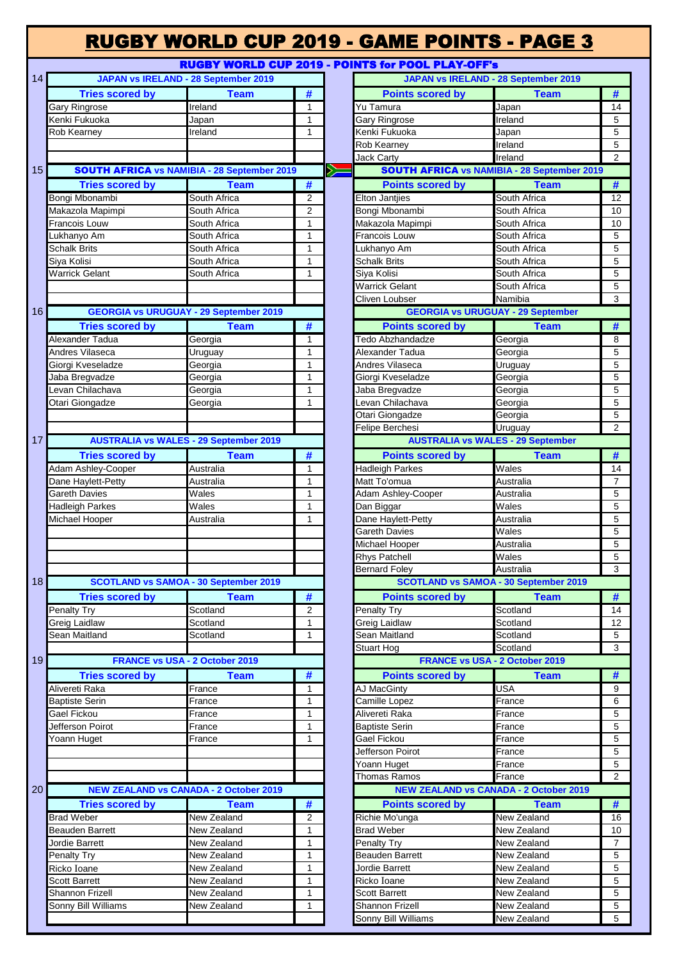|                 |                        |                                                    |                             | <b>RUGBY WORLD CUP 2019 - GAME POINTS - PAGE 3</b>       |
|-----------------|------------------------|----------------------------------------------------|-----------------------------|----------------------------------------------------------|
|                 |                        |                                                    |                             | <b>RUGBY WORLD CUP 2019 - POINTS for POOL PLAY-OFF's</b> |
| 14              |                        | <b>JAPAN vs IRELAND - 28 September 2019</b>        |                             | <b>JAPAN vs IRELAND - 28 September 2019</b>              |
|                 | <b>Tries scored by</b> | <b>Team</b>                                        | #                           | #<br><b>Team</b><br><b>Points scored by</b>              |
|                 | Gary Ringrose          | Ireland                                            | $\mathbf{1}$                | Yu Tamura<br>Japan<br>14                                 |
|                 | Kenki Fukuoka          | Japan                                              | 1                           | <b>Gary Ringrose</b><br>Ireland                          |
|                 | Rob Kearney            | Ireland                                            | 1                           | Kenki Fukuoka<br>Japan                                   |
|                 |                        |                                                    |                             | Rob Kearney<br>Ireland                                   |
|                 |                        |                                                    |                             |                                                          |
|                 |                        | <b>SOUTH AFRICA vs NAMIBIA - 28 September 2019</b> |                             | Ireland<br><b>Jack Carty</b>                             |
| 15              |                        |                                                    |                             | Ý<br><b>SOUTH AFRICA vs NAMIBIA - 28 September 2019</b>  |
|                 | <b>Tries scored by</b> | <b>Team</b>                                        | #                           | #<br><b>Points scored by</b><br><b>Team</b>              |
|                 | Bongi Mbonambi         | South Africa                                       | 2                           | <b>Elton Jantjies</b><br>South Africa<br>12              |
|                 | Makazola Mapimpi       | South Africa                                       | $\overline{2}$              | Bongi Mbonambi<br>South Africa<br>10                     |
|                 | Francois Louw          | South Africa                                       | $\mathbf{1}$                | Makazola Mapimpi<br>South Africa<br>10                   |
|                 | Lukhanyo Am            | South Africa                                       | 1                           | Francois Louw<br>South Africa                            |
|                 | Schalk Brits           | South Africa                                       | 1                           | Lukhanyo Am<br>South Africa                              |
|                 |                        |                                                    |                             |                                                          |
|                 | Siya Kolisi            | South Africa                                       | 1                           | South Africa<br>Schalk Brits                             |
|                 | <b>Warrick Gelant</b>  | South Africa                                       | 1                           | Siya Kolisi<br>South Africa                              |
|                 |                        |                                                    |                             | <b>Warrick Gelant</b><br>South Africa                    |
|                 |                        |                                                    |                             | Namibia<br>Cliven Loubser                                |
| 16              |                        | <b>GEORGIA vs URUGUAY - 29 September 2019</b>      |                             | <b>GEORGIA vs URUGUAY - 29 September</b>                 |
|                 | <b>Tries scored by</b> | <b>Team</b>                                        | #                           | #<br><b>Points scored by</b><br><b>Team</b>              |
|                 |                        |                                                    |                             |                                                          |
|                 | Alexander Tadua        | Georgia                                            | $\mathbf{1}$                | Tedo Abzhandadze<br>Georgia                              |
|                 | Andres Vilaseca        | Uruguay                                            | 1                           | Alexander Tadua<br>Georgia                               |
|                 | Giorgi Kveseladze      | Georgia                                            | $\mathbf{1}$                | Andres Vilaseca<br>Uruguay                               |
|                 | Jaba Bregvadze         | Georgia                                            | $\mathbf{1}$                | Giorgi Kveseladze<br>Georgia                             |
|                 | Levan Chilachava       | Georgia                                            | $\mathbf{1}$                | Jaba Bregvadze<br>Georgia                                |
|                 | Otari Giongadze        | Georgia                                            | 1                           | Levan Chilachava<br>Georgia                              |
|                 |                        |                                                    |                             |                                                          |
|                 |                        |                                                    |                             | Otari Giongadze<br>Georgia                               |
|                 |                        |                                                    |                             | Felipe Berchesi<br>Uruguay                               |
| 17              |                        | <b>AUSTRALIA vs WALES - 29 September 2019</b>      |                             | <b>AUSTRALIA vs WALES - 29 September</b>                 |
|                 | <b>Tries scored by</b> | <b>Team</b>                                        | #                           | #<br><b>Points scored by</b><br><b>Team</b>              |
|                 | Adam Ashley-Cooper     | Australia                                          | 1                           | <b>Hadleigh Parkes</b><br>Wales<br>14                    |
|                 |                        |                                                    | 1                           | Matt To'omua<br>Australia                                |
|                 | Dane Haylett-Petty     | Australia                                          |                             |                                                          |
|                 | Gareth Davies          | Wales                                              | $\mathbf{1}$                | Adam Ashley-Cooper<br>Australia                          |
|                 | <b>Hadleigh Parkes</b> | Wales                                              | 1                           | Wales<br>Dan Biggar                                      |
|                 | Michael Hooper         | Australia                                          | $\mathbf{1}$                | Dane Haylett-Petty<br>Australia                          |
|                 |                        |                                                    |                             | Wales<br><b>Gareth Davies</b>                            |
|                 |                        |                                                    |                             | Michael Hooper<br>Australia                              |
|                 |                        |                                                    |                             | Wales<br>Rhys Patchell                                   |
|                 |                        |                                                    |                             | <b>Bernard Foley</b><br>Australia                        |
|                 |                        |                                                    |                             | <b>SCOTLAND vs SAMOA - 30 September 2019</b>             |
| 18              |                        | <b>SCOTLAND vs SAMOA - 30 September 2019</b>       |                             |                                                          |
|                 | <b>Tries scored by</b> | <b>Team</b>                                        | $\overline{\boldsymbol{t}}$ | <b>Points scored by</b><br><b>Team</b><br>#              |
|                 | Penalty Try            | Scotland                                           | 2                           | Scotland<br>Penalty Try<br>14                            |
|                 | Greig Laidlaw          | Scotland                                           | $\mathbf{1}$                | Greig Laidlaw<br>Scotland<br>12                          |
|                 | Sean Maitland          | Scotland                                           | $\mathbf{1}$                | Sean Maitland<br>Scotland                                |
|                 |                        |                                                    |                             | <b>Stuart Hog</b><br>Scotland                            |
| 19              |                        | <b>FRANCE vs USA - 2 October 2019</b>              |                             | <b>FRANCE vs USA - 2 October 2019</b>                    |
|                 |                        |                                                    |                             |                                                          |
|                 | <b>Tries scored by</b> | <b>Team</b>                                        | #                           | #<br><b>Team</b><br><b>Points scored by</b>              |
|                 | Alivereti Raka         | France                                             | 1                           | <b>USA</b><br><b>AJ MacGinty</b>                         |
|                 | <b>Baptiste Serin</b>  | France                                             | $\mathbf{1}$                | Camille Lopez<br>France                                  |
|                 | Gael Fickou            | France                                             | $\mathbf{1}$                | Alivereti Raka<br>France                                 |
|                 | Jefferson Poirot       | France                                             | 1                           | <b>Baptiste Serin</b><br>France                          |
|                 | Yoann Huget            | France                                             | 1                           | Gael Fickou<br>France                                    |
|                 |                        |                                                    |                             | Jefferson Poirot<br>France                               |
|                 |                        |                                                    |                             |                                                          |
|                 |                        |                                                    |                             | Yoann Huget<br>France                                    |
|                 |                        |                                                    |                             | <b>Thomas Ramos</b><br>France                            |
| 20 <sub>1</sub> |                        | <b>NEW ZEALAND vs CANADA - 2 October 2019</b>      |                             | <b>NEW ZEALAND vs CANADA - 2 October 2019</b>            |
|                 | <b>Tries scored by</b> | <b>Team</b>                                        | #                           | #<br><b>Points scored by</b><br><b>Team</b>              |
|                 | <b>Brad Weber</b>      | New Zealand                                        | 2                           | Richie Mo'unga<br>New Zealand<br>16                      |
|                 | <b>Beauden Barrett</b> | New Zealand                                        | $\mathbf{1}$                | <b>Brad Weber</b><br>New Zealand<br>10                   |
|                 |                        |                                                    |                             |                                                          |
|                 | Jordie Barrett         | New Zealand                                        | 1                           | Penalty Try<br>New Zealand                               |
|                 | Penalty Try            | New Zealand                                        | $\mathbf{1}$                | <b>Beauden Barrett</b><br>New Zealand                    |
|                 | Ricko Ioane            | New Zealand                                        | $\mathbf{1}$                | Jordie Barrett<br>New Zealand                            |
|                 | Scott Barrett          | New Zealand                                        | $\mathbf{1}$                | New Zealand<br>Ricko Ioane                               |
|                 | Shannon Frizell        | New Zealand                                        | 1                           | <b>Scott Barrett</b><br>New Zealand                      |
|                 | Sonny Bill Williams    | New Zealand                                        | $\mathbf{1}$                | Shannon Frizell<br>New Zealand                           |
|                 |                        |                                                    |                             |                                                          |
|                 |                        |                                                    |                             | Sonny Bill Williams<br>New Zealand                       |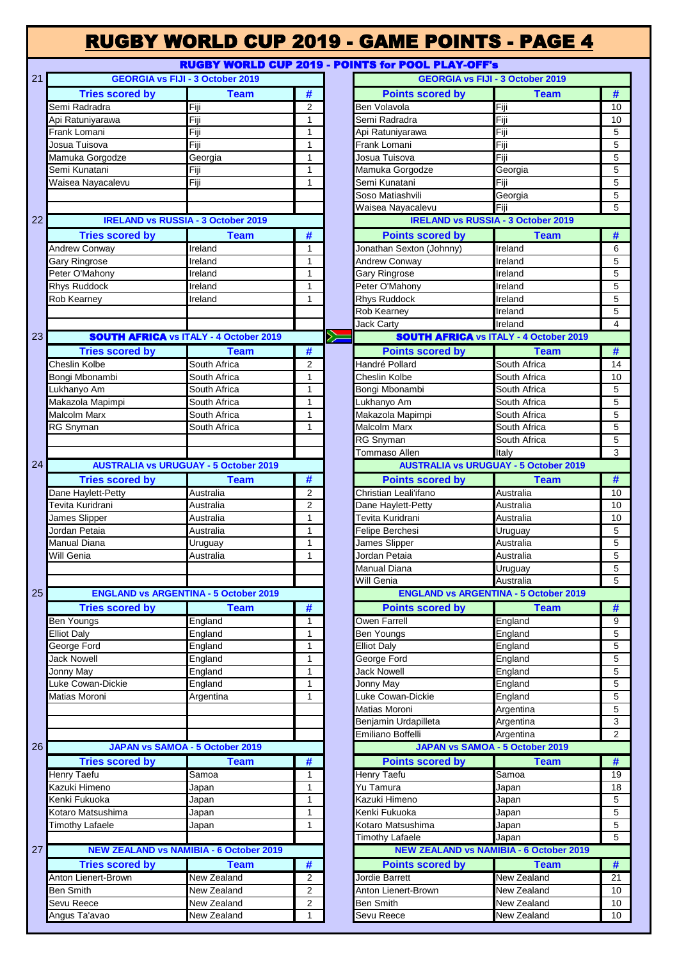|    |                                         |                                                |                             |    | <b>RUGBY WORLD CUP 2019 - GAME POINTS - PAGE 4</b>       |                                                |                |
|----|-----------------------------------------|------------------------------------------------|-----------------------------|----|----------------------------------------------------------|------------------------------------------------|----------------|
|    |                                         |                                                |                             |    | <b>RUGBY WORLD CUP 2019 - POINTS for POOL PLAY-OFF's</b> |                                                |                |
| 21 |                                         | <b>GEORGIA vs FIJI - 3 October 2019</b>        |                             |    |                                                          | <b>GEORGIA vs FIJI - 3 October 2019</b>        |                |
|    | <b>Tries scored by</b>                  | <b>Team</b>                                    | #                           |    | <b>Points scored by</b>                                  | <b>Team</b>                                    | #              |
|    | Semi Radradra                           | Fiji                                           | $\overline{2}$              |    | Ben Volavola                                             | Fiji                                           | 10             |
|    | Api Ratuniyarawa                        | Fiji                                           | $\mathbf{1}$                |    | Semi Radradra                                            | Fiji                                           | 10             |
|    | Frank Lomani                            | Fiji                                           | $\mathbf{1}$                |    | Api Ratuniyarawa                                         | Fiji                                           | 5              |
|    | Josua Tuisova                           | Fiji                                           | $\mathbf{1}$                |    | Frank Lomani                                             | Fiji                                           | 5              |
|    | Mamuka Gorgodze                         | Georgia                                        | $\mathbf{1}$                |    | Josua Tuisova                                            | Fiji                                           | 5              |
|    | Semi Kunatani                           | Fiji                                           | $\mathbf{1}$                |    | Mamuka Gorgodze                                          | Georgia                                        | 5              |
|    | Waisea Nayacalevu                       | Fiji                                           | $\mathbf{1}$                |    | Semi Kunatani                                            | Fiji                                           | 5              |
|    |                                         |                                                |                             |    | Soso Matiashvili                                         | Georgia                                        | 5              |
|    |                                         |                                                |                             |    | Waisea Nayacalevu                                        | Fiji                                           | 5              |
| 22 |                                         | <b>IRELAND vs RUSSIA - 3 October 2019</b>      |                             |    |                                                          | <b>IRELAND vs RUSSIA - 3 October 2019</b>      |                |
|    | <b>Tries scored by</b>                  | <b>Team</b>                                    | #                           |    | <b>Points scored by</b>                                  | <b>Team</b>                                    | #              |
|    | <b>Andrew Conway</b>                    | Ireland                                        | 1                           |    | Jonathan Sexton (Johnny)                                 | Ireland                                        | 6              |
|    | Gary Ringrose                           | Ireland                                        | 1                           |    | <b>Andrew Conway</b>                                     | Ireland                                        | 5              |
|    | Peter O'Mahony                          | Ireland                                        | $\mathbf{1}$                |    | Gary Ringrose                                            | Ireland                                        | 5              |
|    | <b>Rhys Ruddock</b>                     | Ireland                                        | $\mathbf{1}$                |    | Peter O'Mahony                                           | Ireland                                        | 5              |
|    | <b>Rob Kearney</b>                      | Ireland                                        | $\mathbf{1}$                |    | <b>Rhys Ruddock</b>                                      | Ireland                                        | 5              |
|    |                                         |                                                |                             |    | Rob Kearney                                              | Ireland                                        | 5              |
|    |                                         |                                                |                             |    | Jack Carty                                               | Ireland                                        | $\overline{4}$ |
| 23 |                                         | <b>SOUTH AFRICA vs ITALY - 4 October 2019</b>  |                             | ╳═ |                                                          | <b>SOUTH AFRICA vs ITALY - 4 October 2019</b>  |                |
|    | <b>Tries scored by</b>                  | <b>Team</b>                                    | #                           |    | <b>Points scored by</b>                                  | <b>Team</b>                                    | #              |
|    | <b>Cheslin Kolbe</b>                    | South Africa                                   | $\overline{2}$              |    | Handré Pollard                                           | South Africa                                   | 14             |
|    | Bongi Mbonambi                          | South Africa                                   | 1                           |    | Cheslin Kolbe                                            | South Africa                                   | 10             |
|    | Lukhanyo Am                             | South Africa                                   | $\mathbf{1}$                |    | Bongi Mbonambi                                           | South Africa                                   | 5              |
|    | Makazola Mapimpi                        | South Africa                                   | $\mathbf{1}$                |    | Lukhanyo Am                                              | South Africa                                   | 5              |
|    | <b>Malcolm Marx</b>                     | South Africa                                   | $\mathbf{1}$                |    | Makazola Mapimpi                                         | South Africa                                   | 5              |
|    | <b>RG Snyman</b>                        | South Africa                                   | $\mathbf{1}$                |    | Malcolm Marx                                             | South Africa                                   | 5              |
|    |                                         |                                                |                             |    | <b>RG Snyman</b>                                         | South Africa                                   | 5              |
|    |                                         |                                                |                             |    | Tommaso Allen                                            | Italy                                          | 3              |
| 24 |                                         | <b>AUSTRALIA vs URUGUAY - 5 October 2019</b>   |                             |    |                                                          | <b>AUSTRALIA vs URUGUAY - 5 October 2019</b>   |                |
|    | <b>Tries scored by</b>                  | <b>Team</b>                                    | #                           |    | <b>Points scored by</b>                                  | <b>Team</b>                                    | #              |
|    | Dane Haylett-Petty                      | Australia                                      | $\overline{2}$              |    | Christian Leali'ifano                                    | Australia                                      | 10             |
|    | Tevita Kuridrani                        | Australia                                      | $\overline{2}$              |    | Dane Haylett-Petty                                       | Australia                                      | 10             |
|    | James Slipper                           | Australia                                      | $\mathbf{1}$                |    | Tevita Kuridrani                                         | Australia                                      | 10             |
|    | Jordan Petaia                           | Australia                                      | $\mathbf{1}$<br>1           |    | Felipe Berchesi                                          | Uruguay                                        | 5<br>5         |
|    | Manual Diana<br>Will Genia              | Uruguay<br>Australia                           | $\mathbf{1}$                |    | James Slipper                                            | Australia<br>Australia                         |                |
|    |                                         |                                                |                             |    | Jordan Petaia<br>Manual Diana                            |                                                | 5              |
|    |                                         |                                                |                             |    | Will Genia                                               | Uruguay<br>Australia                           | 5<br>5         |
| 25 |                                         | <b>ENGLAND vs ARGENTINA - 5 October 2019</b>   |                             |    |                                                          | <b>ENGLAND vs ARGENTINA - 5 October 2019</b>   |                |
|    | <b>Tries scored by</b>                  |                                                |                             |    |                                                          | <b>Team</b>                                    |                |
|    |                                         | <b>Team</b><br>England                         | #<br>1                      |    | <b>Points scored by</b><br>Owen Farrell                  | England                                        | #<br>9         |
|    | <b>Ben Youngs</b><br><b>Elliot Daly</b> | England                                        | $\mathbf{1}$                |    | Ben Youngs                                               | England                                        | 5              |
|    | George Ford                             | England                                        | $\mathbf{1}$                |    | <b>Elliot Daly</b>                                       | England                                        | 5              |
|    | <b>Jack Nowell</b>                      | England                                        | $\mathbf{1}$                |    | George Ford                                              | England                                        | 5              |
|    | Jonny May                               | England                                        | 1                           |    | <b>Jack Nowell</b>                                       | England                                        | 5              |
|    | Luke Cowan-Dickie                       | England                                        | $\mathbf{1}$                |    | Jonny May                                                | England                                        | 5              |
|    | Matias Moroni                           | Argentina                                      | 1                           |    | Luke Cowan-Dickie                                        | England                                        | 5              |
|    |                                         |                                                |                             |    | Matias Moroni                                            | Argentina                                      | 5              |
|    |                                         |                                                |                             |    | Benjamin Urdapilleta                                     | Argentina                                      | 3              |
|    |                                         |                                                |                             |    | Emiliano Boffelli                                        | Argentina                                      | $\mathbf{2}$   |
| 26 |                                         | JAPAN vs SAMOA - 5 October 2019                |                             |    |                                                          | JAPAN vs SAMOA - 5 October 2019                |                |
|    | <b>Tries scored by</b>                  | <b>Team</b>                                    | $\overline{\boldsymbol{t}}$ |    | <b>Points scored by</b>                                  | <b>Team</b>                                    | #              |
|    | Henry Taefu                             | Samoa                                          | 1                           |    | Henry Taefu                                              | Samoa                                          | 19             |
|    | Kazuki Himeno                           | Japan                                          | 1                           |    | Yu Tamura                                                | Japan                                          | 18             |
|    | Kenki Fukuoka                           | Japan                                          | 1                           |    | Kazuki Himeno                                            | Japan                                          | 5              |
|    | Kotaro Matsushima                       | Japan                                          | $\mathbf{1}$                |    | Kenki Fukuoka                                            | Japan                                          | 5              |
|    | <b>Timothy Lafaele</b>                  | Japan                                          | $\mathbf{1}$                |    | Kotaro Matsushima                                        | Japan                                          | 5              |
|    |                                         |                                                |                             |    | Timothy Lafaele                                          | Japan                                          | 5              |
| 27 |                                         | <b>NEW ZEALAND vs NAMIBIA - 6 October 2019</b> |                             |    |                                                          | <b>NEW ZEALAND vs NAMIBIA - 6 October 2019</b> |                |
|    | <b>Tries scored by</b>                  | <b>Team</b>                                    | #                           |    | <b>Points scored by</b>                                  | <b>Team</b>                                    | #              |
|    | Anton Lienert-Brown                     | <b>New Zealand</b>                             | $\overline{2}$              |    | Jordie Barrett                                           | <b>New Zealand</b>                             | 21             |
|    | <b>Ben Smith</b>                        | New Zealand                                    | 2                           |    | Anton Lienert-Brown                                      | New Zealand                                    | 10             |
|    | Sevu Reece                              | New Zealand                                    | $\overline{2}$              |    | Ben Smith                                                | New Zealand                                    | 10             |
|    | Angus Ta'avao                           | New Zealand                                    | $\mathbf{1}$                |    | Sevu Reece                                               | New Zealand                                    | 10             |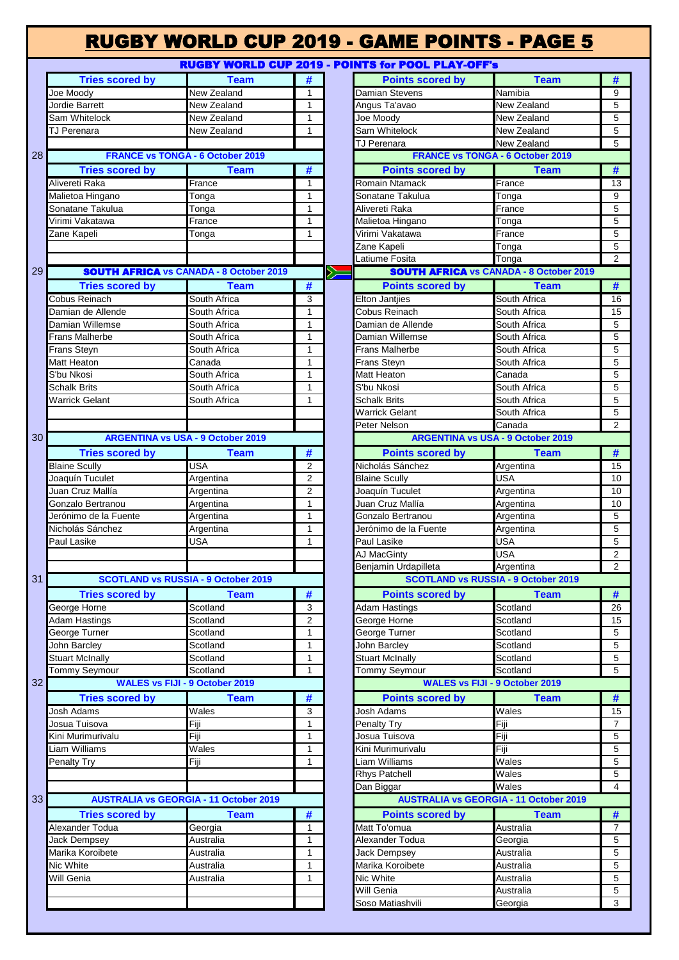|                        |                                                |                |                              | <b>RUGBY WORLD CUP 2019 - POINTS for POOL PLAY-OFF's</b> |                                                         |        |
|------------------------|------------------------------------------------|----------------|------------------------------|----------------------------------------------------------|---------------------------------------------------------|--------|
| <b>Tries scored by</b> | <b>Team</b>                                    | #              |                              | <b>Points scored by</b>                                  | <b>Team</b>                                             | #      |
| Joe Moody              | New Zealand                                    | 1              |                              | Damian Stevens                                           | Namibia                                                 | 9      |
| Jordie Barrett         | New Zealand                                    | $\mathbf{1}$   |                              | Angus Ta'avao                                            | New Zealand                                             |        |
| Sam Whitelock          | New Zealand                                    | 1              |                              | Joe Moody                                                | New Zealand                                             | 5      |
| TJ Perenara            | New Zealand                                    | 1              |                              | Sam Whitelock                                            | New Zealand                                             | 5      |
|                        |                                                |                |                              | TJ Perenara                                              | New Zealand                                             | 5      |
|                        | <b>FRANCE vs TONGA - 6 October 2019</b>        |                |                              |                                                          | <b>FRANCE vs TONGA - 6 October 2019</b>                 |        |
| <b>Tries scored by</b> | <b>Team</b>                                    | #              |                              | <b>Points scored by</b>                                  | <b>Team</b>                                             | #      |
| Alivereti Raka         | France                                         | $\mathbf{1}$   |                              | Romain Ntamack                                           | France                                                  | 13     |
| Malietoa Hingano       | Tonga                                          | $\mathbf{1}$   |                              | Sonatane Takulua                                         | Tonga                                                   |        |
| Sonatane Takulua       | Tonga                                          | $\mathbf{1}$   |                              | Alivereti Raka                                           | France                                                  |        |
| Virimi Vakatawa        | France                                         | $\mathbf{1}$   |                              | Malietoa Hingano                                         | Tonga                                                   |        |
| Zane Kapeli            |                                                | 1              |                              | Virimi Vakatawa                                          | France                                                  |        |
|                        | Tonga                                          |                |                              |                                                          |                                                         |        |
|                        |                                                |                |                              | Zane Kapeli                                              | Tonga                                                   |        |
|                        | <b>SOUTH AFRICA VS CANADA - 8 October 2019</b> |                |                              | Latiume Fosita                                           | Tonga<br><b>SOUTH AFRICA VS CANADA - 8 October 2019</b> |        |
|                        |                                                |                | $\left\langle \right\rangle$ |                                                          |                                                         |        |
| <b>Tries scored by</b> | <b>Team</b>                                    | #              |                              | <b>Points scored by</b>                                  | <b>Team</b>                                             | #      |
| Cobus Reinach          | South Africa                                   | 3              |                              | <b>Elton Jantjies</b>                                    | South Africa                                            | 16     |
| Damian de Allende      | South Africa                                   | $\mathbf{1}$   |                              | Cobus Reinach                                            | South Africa                                            | 15     |
| Damian Willemse        | South Africa                                   | $\mathbf{1}$   |                              | Damian de Allende                                        | South Africa                                            |        |
| <b>Frans Malherbe</b>  | South Africa                                   | 1              |                              | Damian Willemse                                          | South Africa                                            |        |
| <b>Frans Steyn</b>     | South Africa                                   | $\mathbf{1}$   |                              | <b>Frans Malherbe</b>                                    | South Africa                                            |        |
| Matt Heaton            | Canada                                         | $\mathbf{1}$   |                              | Frans Steyn                                              | South Africa                                            |        |
| S'bu Nkosi             | South Africa                                   | $\mathbf{1}$   |                              | Matt Heaton                                              | Canada                                                  |        |
| Schalk Brits           | South Africa                                   | $\mathbf{1}$   |                              | S'bu Nkosi                                               | South Africa                                            |        |
| <b>Warrick Gelant</b>  | South Africa                                   | $\mathbf{1}$   |                              | <b>Schalk Brits</b>                                      | South Africa                                            |        |
|                        |                                                |                |                              | <b>Warrick Gelant</b>                                    | South Africa                                            |        |
|                        |                                                |                |                              | Peter Nelson                                             | Canada                                                  |        |
|                        | <b>ARGENTINA vs USA - 9 October 2019</b>       |                |                              |                                                          | <b>ARGENTINA vs USA - 9 October 2019</b>                |        |
| <b>Tries scored by</b> | <b>Team</b>                                    | #              |                              | <b>Points scored by</b>                                  | <b>Team</b>                                             | $\#$   |
|                        | <b>USA</b>                                     |                |                              | Nicholás Sánchez                                         |                                                         |        |
| <b>Blaine Scully</b>   |                                                | $\overline{2}$ |                              |                                                          | Argentina                                               | 15     |
| Joaquín Tuculet        | Argentina                                      | $\overline{2}$ |                              | <b>Blaine Scully</b>                                     | USA                                                     | 10     |
| Juan Cruz Mallía       | Argentina                                      | $\overline{2}$ |                              | Joaquín Tuculet                                          | Argentina                                               | 10     |
| Gonzalo Bertranou      | Argentina                                      | $\mathbf{1}$   |                              | Juan Cruz Mallía                                         | Argentina                                               | 10     |
| Jerónimo de la Fuente  | Argentina                                      | $\mathbf{1}$   |                              | Gonzalo Bertranou                                        | Argentina                                               |        |
| Nicholás Sánchez       | Argentina                                      | $\mathbf{1}$   |                              | Jerónimo de la Fuente                                    | Argentina                                               |        |
| Paul Lasike            | <b>USA</b>                                     | $\mathbf{1}$   |                              | Paul Lasike                                              | <b>USA</b>                                              |        |
|                        |                                                |                |                              | <b>AJ MacGinty</b>                                       | <b>USA</b>                                              |        |
|                        |                                                |                |                              | Benjamin Urdapilleta                                     | Argentina                                               |        |
|                        | <b>SCOTLAND vs RUSSIA - 9 October 2019</b>     |                |                              |                                                          | <b>SCOTLAND vs RUSSIA - 9 October 2019</b>              |        |
| <b>Tries scored by</b> | <b>Team</b>                                    | #              |                              | <b>Points scored by</b>                                  | <b>Team</b>                                             | #      |
| George Horne           | Scotland                                       | 3              |                              | <b>Adam Hastings</b>                                     | Scotland                                                | 26     |
| <b>Adam Hastings</b>   | Scotland                                       | $\overline{2}$ |                              | George Horne                                             | Scotland                                                | 15     |
| George Turner          | Scotland                                       | $\mathbf{1}$   |                              | George Turner                                            | Scotland                                                | 5      |
| John Barcley           | Scotland                                       | $\mathbf{1}$   |                              | John Barcley                                             | Scotland                                                |        |
| <b>Stuart McInally</b> | Scotland                                       | 1              |                              | <b>Stuart McInally</b>                                   | Scotland                                                |        |
| <b>Tommy Seymour</b>   | Scotland                                       | $\mathbf{1}$   |                              | Tommy Seymour                                            | Scotland                                                |        |
|                        | <b>WALES vs FIJI - 9 October 2019</b>          |                |                              |                                                          | <b>WALES vs FIJI - 9 October 2019</b>                   |        |
| <b>Tries scored by</b> | <b>Team</b>                                    | #              |                              | <b>Points scored by</b>                                  | <b>Team</b>                                             | #      |
|                        | Wales                                          |                |                              |                                                          |                                                         |        |
| <b>Josh Adams</b>      |                                                | 3              |                              | Josh Adams                                               | Wales                                                   | 15     |
| Josua Tuisova          | Fiji                                           | $\mathbf{1}$   |                              | Penalty Try                                              | Fiji                                                    |        |
| Kini Murimurivalu      | Fiji                                           | $\mathbf{1}$   |                              | Josua Tuisova                                            | Fiji                                                    |        |
| Liam Williams          | Wales                                          | $\mathbf{1}$   |                              | Kini Murimurivalu                                        | Fiji                                                    |        |
| Penalty Try            | Fiji                                           | 1              |                              | Liam Williams                                            | Wales                                                   |        |
|                        |                                                |                |                              | <b>Rhys Patchell</b>                                     | Wales                                                   |        |
|                        |                                                |                |                              | Dan Biggar                                               | Wales                                                   |        |
|                        | <b>AUSTRALIA vs GEORGIA - 11 October 2019</b>  |                |                              |                                                          | <b>AUSTRALIA vs GEORGIA - 11 October 2019</b>           |        |
| <b>Tries scored by</b> | <b>Team</b>                                    | #              |                              | <b>Points scored by</b>                                  | <b>Team</b>                                             | #      |
| Alexander Todua        | Georgia                                        | 1              |                              | Matt To'omua                                             | Australia                                               |        |
| <b>Jack Dempsey</b>    | Australia                                      | $\mathbf{1}$   |                              | Alexander Todua                                          | Georgia                                                 |        |
| Marika Koroibete       | Australia                                      | $\mathbf{1}$   |                              | <b>Jack Dempsey</b>                                      | Australia                                               |        |
| Nic White              | Australia                                      | $\mathbf{1}$   |                              | Marika Koroibete                                         | Australia                                               |        |
|                        |                                                |                |                              |                                                          |                                                         | 5      |
|                        |                                                |                |                              |                                                          |                                                         |        |
|                        | Australia                                      | 1              |                              | Nic White                                                | Australia                                               | 5<br>5 |
| Will Genia             |                                                |                |                              | Will Genia<br>Soso Matiashvili                           | Australia<br>Georgia                                    |        |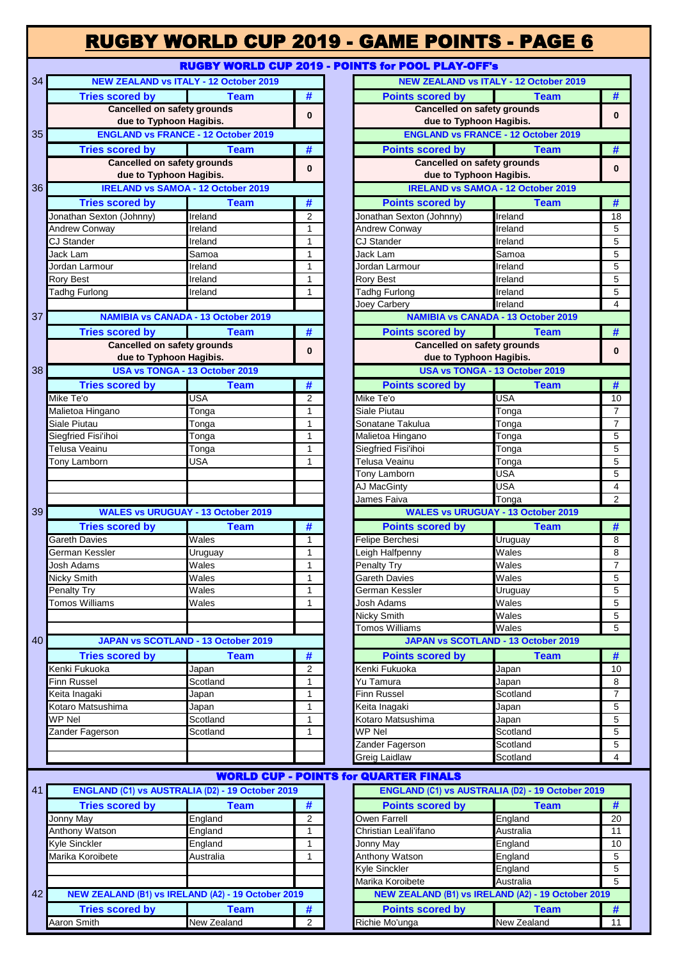### RUGBY WORLD CUP 2019 - GAME POINTS - PAGE 6

#### **POINTS for POOL PLAY-OFF's**

|    |                                                              |                                               |                              | <u> RUGBT WORLD CUP 2019 - POINTS for POOL PLAT-OFF'S</u>     |                                               |                                  |
|----|--------------------------------------------------------------|-----------------------------------------------|------------------------------|---------------------------------------------------------------|-----------------------------------------------|----------------------------------|
| 34 |                                                              | <b>NEW ZEALAND vs ITALY - 12 October 2019</b> |                              |                                                               | <b>NEW ZEALAND vs ITALY - 12 October 2019</b> |                                  |
|    | <b>Tries scored by</b><br><b>Cancelled on safety grounds</b> | <b>Team</b>                                   | #                            | <b>Points scored by</b><br><b>Cancelled on safety grounds</b> | <b>Team</b>                                   | #                                |
|    | due to Typhoon Hagibis.                                      |                                               | $\bf{0}$                     | due to Typhoon Hagibis.                                       |                                               | $\bf{0}$                         |
| 35 | <b>ENGLAND vs FRANCE - 12 October 2019</b>                   |                                               |                              |                                                               | <b>ENGLAND vs FRANCE - 12 October 2019</b>    |                                  |
|    | <b>Tries scored by</b>                                       | <b>Team</b>                                   | #                            | <b>Points scored by</b>                                       | <b>Team</b>                                   | #                                |
|    | <b>Cancelled on safety grounds</b>                           |                                               | $\bf{0}$                     | <b>Cancelled on safety grounds</b>                            |                                               | $\bf{0}$                         |
|    | due to Typhoon Hagibis.                                      |                                               |                              | due to Typhoon Hagibis.                                       |                                               |                                  |
| 36 |                                                              | <b>IRELAND vs SAMOA - 12 October 2019</b>     |                              | <b>IRELAND vs SAMOA - 12 October 2019</b>                     |                                               |                                  |
|    | <b>Tries scored by</b>                                       | <b>Team</b>                                   | #                            | <b>Points scored by</b>                                       | <b>Team</b>                                   | #                                |
|    | Jonathan Sexton (Johnny)                                     | Ireland                                       | $\overline{2}$               | Jonathan Sexton (Johnny)                                      | Ireland                                       | 18                               |
|    | <b>Andrew Conway</b>                                         | Ireland                                       | $\mathbf{1}$                 | Andrew Conway                                                 | Ireland                                       | 5                                |
|    | <b>CJ Stander</b>                                            | Ireland                                       | 1                            | <b>CJ Stander</b>                                             | Ireland                                       | 5                                |
|    | Jack Lam<br>Jordan Larmour                                   | Samoa<br>Ireland                              | $\mathbf{1}$<br>$\mathbf{1}$ | Jack Lam<br>Jordan Larmour                                    | Samoa<br>Ireland                              | $\overline{5}$<br>$\overline{5}$ |
|    | Rory Best                                                    | Ireland                                       | $\mathbf{1}$                 | Rory Best                                                     | Ireland                                       | 5                                |
|    | Tadhg Furlong                                                | Ireland                                       | $\mathbf{1}$                 | Tadhg Furlong                                                 | Ireland                                       | $\overline{5}$                   |
|    |                                                              |                                               |                              | Joey Carbery                                                  | Ireland                                       | $\overline{4}$                   |
| 37 |                                                              | <b>NAMIBIA vs CANADA - 13 October 2019</b>    |                              |                                                               | <b>NAMIBIA vs CANADA - 13 October 2019</b>    |                                  |
|    | <b>Tries scored by</b>                                       | <b>Team</b>                                   | #                            | <b>Points scored by</b>                                       | <b>Team</b>                                   | #                                |
|    | <b>Cancelled on safety grounds</b>                           |                                               | $\bf{0}$                     | <b>Cancelled on safety grounds</b>                            |                                               | $\bf{0}$                         |
|    | due to Typhoon Hagibis.                                      |                                               |                              | due to Typhoon Hagibis.                                       |                                               |                                  |
| 38 | USA vs TONGA - 13 October 2019                               |                                               |                              |                                                               | USA vs TONGA - 13 October 2019                |                                  |
|    | <b>Tries scored by</b>                                       | <b>Team</b>                                   | #                            | <b>Points scored by</b>                                       | <b>Team</b>                                   | #                                |
|    | Mike Te'o                                                    | <b>USA</b>                                    | $\overline{2}$               | Mike Te'o                                                     | <b>USA</b>                                    | 10                               |
|    | Malietoa Hingano                                             | Tonga                                         | $\mathbf{1}$                 | Siale Piutau                                                  | Tonga                                         | $\overline{7}$                   |
|    | Siale Piutau<br>Siegfried Fisi'ihoi                          | Tonga<br>Tonga                                | $\mathbf{1}$<br>$\mathbf{1}$ | Sonatane Takulua<br>Malietoa Hingano                          | Tonga<br>Tonga                                | $\overline{7}$<br>5              |
|    | Telusa Veainu                                                | Tonga                                         | 1                            | Siegfried Fisi'ihoi                                           | Tonga                                         | $\overline{5}$                   |
|    | <b>Tony Lamborn</b>                                          | <b>USA</b>                                    | 1                            | Telusa Veainu                                                 | Tonga                                         | 5                                |
|    |                                                              |                                               |                              | Tony Lamborn                                                  | <b>USA</b>                                    | 5                                |
|    |                                                              |                                               |                              | AJ MacGinty                                                   | <b>USA</b>                                    | $\overline{\mathbf{4}}$          |
|    |                                                              |                                               |                              | James Faiva                                                   | Tonga                                         | $\overline{2}$                   |
| 39 |                                                              | <b>WALES vs URUGUAY - 13 October 2019</b>     |                              |                                                               | <b>WALES vs URUGUAY - 13 October 2019</b>     |                                  |
|    | <b>Tries scored by</b>                                       | <b>Team</b>                                   | #                            | <b>Points scored by</b>                                       | <b>Team</b>                                   | #                                |
|    | <b>Gareth Davies</b>                                         | Wales                                         | $\mathbf{1}$                 | Felipe Berchesi                                               | Uruguay                                       | 8                                |
|    | German Kessler<br>Josh Adams                                 | Uruguay<br>Wales                              | $\mathbf{1}$<br>$\mathbf{1}$ | Leigh Halfpenny<br>Penalty Try                                | Wales<br>Wales                                | 8<br>$\overline{7}$              |
|    | Nicky Smith                                                  | Wales                                         | 1                            | <b>Gareth Davies</b>                                          | Wales                                         | $\overline{5}$                   |
|    | Penalty Try                                                  | Wales                                         | $\mathbf{1}$                 | German Kessler                                                | Uruguay                                       | 5                                |
|    | <b>Tomos Williams</b>                                        | Wales                                         | $\mathbf{1}$                 | Josh Adams                                                    | Wales                                         | $\overline{5}$                   |
|    |                                                              |                                               |                              | Nicky Smith                                                   | Wales                                         | 5                                |
|    |                                                              |                                               |                              | <b>Tomos Williams</b>                                         | Wales                                         | 5                                |
| 40 |                                                              | JAPAN vs SCOTLAND - 13 October 2019           |                              |                                                               | JAPAN vs SCOTLAND - 13 October 2019           |                                  |
|    | <b>Tries scored by</b>                                       | <b>Team</b>                                   | #                            | <b>Points scored by</b>                                       | <b>Team</b>                                   | #                                |
|    | Kenki Fukuoka                                                | Japan                                         | 2                            | Kenki Fukuoka                                                 | Japan                                         | 10                               |
|    | Finn Russel                                                  | Scotland                                      | $\mathbf{1}$<br>$\mathbf{1}$ | Yu Tamura                                                     | Japan<br>Scotland                             | 8<br>$\overline{7}$              |
|    | Keita Inagaki<br>Kotaro Matsushima                           | Japan<br>Japan                                | 1                            | Finn Russel<br>Keita Inagaki                                  | Japan                                         | $\overline{5}$                   |
|    | <b>WP Nel</b>                                                | Scotland                                      | $\mathbf{1}$                 | Kotaro Matsushima                                             | Japan                                         | $\overline{5}$                   |
|    | Zander Fagerson                                              | Scotland                                      | $\mathbf{1}$                 | <b>WP Nel</b>                                                 | Scotland                                      | $\overline{5}$                   |
|    |                                                              |                                               |                              | Zander Fagerson                                               | Scotland                                      | 5                                |
|    |                                                              |                                               |                              | Greig Laidlaw                                                 | Scotland                                      | $\overline{4}$                   |
|    |                                                              |                                               |                              | <b>WORLD CUP - POINTS for QUARTER FINALS</b>                  |                                               |                                  |
| 41 | ENGLAND (C1) vs AUSTRALIA (D2) - 19 October 2019             |                                               |                              | ENGLAND (C1) vs AUSTRALIA (D2) - 19 October 2019              |                                               |                                  |
|    | <b>Tries scored by</b>                                       | <b>Team</b>                                   | #                            | <b>Points scored by</b>                                       | <b>Team</b>                                   | #                                |
|    | Jonny May                                                    | England                                       | $\overline{c}$               | <b>Owen Farrell</b>                                           | England                                       | 20                               |
|    | <b>Anthony Watson</b>                                        | England                                       | $\mathbf{1}$                 | Christian Leali'ifano                                         | Australia                                     | 11                               |
|    | Kyle Sinckler                                                | England                                       | 1                            | Jonny May                                                     | England                                       | 1 <sup>C</sup>                   |
|    | Marika Koroibete                                             | Australia                                     | $\mathbf{1}$                 | <b>Anthony Watson</b>                                         | England                                       | 5                                |
|    |                                                              |                                               |                              | Kyle Sinckler                                                 | England                                       | 5                                |
|    |                                                              |                                               |                              | Marika Koroibete                                              | Australia                                     | 5                                |
| 42 | NEW ZEALAND (B1) vs IRELAND (A2) - 19 October 2019           |                                               |                              | NEW ZEALAND (B1) vs IRELAND (A2) - 19 October 2019            |                                               |                                  |
|    | <b>Tries scored by</b><br>Agrop Smith                        | <b>Team</b><br>Now Zooland                    | #                            | <b>Points scored by</b><br>Pichio Mo'ungo                     | <b>Team</b><br>Now Zooland                    | #<br>$\overline{11}$             |

|                                    | <b>NEW ZEALAND vs ITALY - 12 October 2019</b>   |                | <b>NEW ZEALAND vs ITALY - 12 October 2019</b>            |                  |                |
|------------------------------------|-------------------------------------------------|----------------|----------------------------------------------------------|------------------|----------------|
| <b>Tries scored by</b>             | <b>Team</b>                                     | #              | <b>Points scored by</b>                                  | <b>Team</b>      | #              |
| <b>Cancelled on safety grounds</b> |                                                 | $\bf{0}$       | <b>Cancelled on safety grounds</b>                       |                  | $\bf{0}$       |
| due to Typhoon Hagibis.            |                                                 |                | due to Typhoon Hagibis.                                  |                  |                |
|                                    | <b>ENGLAND vs FRANCE - 12 October 2019</b>      |                | <b>ENGLAND vs FRANCE - 12 October 2019</b>               |                  |                |
| <b>Tries scored by</b>             | <b>Team</b>                                     | #              | <b>Points scored by</b>                                  | <b>Team</b>      | #              |
| <b>Cancelled on safety grounds</b> |                                                 | $\bf{0}$       | <b>Cancelled on safety grounds</b>                       |                  | $\bf{0}$       |
| due to Typhoon Hagibis.            |                                                 |                | due to Typhoon Hagibis.                                  |                  |                |
|                                    | <b>IRELAND vs SAMOA - 12 October 2019</b>       |                | <b>IRELAND vs SAMOA - 12 October 2019</b>                |                  |                |
| <b>Tries scored by</b>             | <b>Team</b>                                     | #              | <b>Points scored by</b>                                  | <b>Team</b>      | #              |
| an Sexton (Johnny)                 | Ireland                                         | 2              | Jonathan Sexton (Johnny)                                 | Ireland          | 18             |
| Conway<br>der                      | Ireland                                         | 1<br>1         | <b>Andrew Conway</b><br><b>CJ Stander</b>                | Ireland          | 5<br>5         |
| ΙW                                 | Ireland<br>Samoa                                | 1              | Jack Lam                                                 | Ireland<br>Samoa | 5              |
| Larmour                            | Ireland                                         | 1              | Jordan Larmour                                           | Ireland          | 5              |
| est                                | Ireland                                         | 1              | <b>Rory Best</b>                                         | Ireland          | 5              |
| Furlong                            | Ireland                                         | 1              | Tadhg Furlong                                            | Ireland          | 5              |
|                                    |                                                 |                | Joey Carbery                                             | Ireland          | 4              |
|                                    | <b>NAMIBIA vs CANADA - 13 October 2019</b>      |                | <b>NAMIBIA vs CANADA - 13 October 2019</b>               |                  |                |
| <b>Tries scored by</b>             | Team                                            | #              | <b>Points scored by</b>                                  | <b>Team</b>      | #              |
| <b>Cancelled on safety grounds</b> |                                                 |                | <b>Cancelled on safety grounds</b>                       |                  |                |
| due to Typhoon Hagibis.            |                                                 | $\bf{0}$       | due to Typhoon Hagibis.                                  |                  | $\bf{0}$       |
|                                    | <b>USA vs TONGA - 13 October 2019</b>           |                | <b>USA vs TONGA - 13 October 2019</b>                    |                  |                |
| <b>Tries scored by</b>             | <b>Team</b>                                     | #              | <b>Points scored by</b>                                  | <b>Team</b>      | #              |
| э'о                                | <b>USA</b>                                      | $\overline{2}$ | Mike Te'o                                                | <b>USA</b>       | 10             |
| a Hingano                          | Tonga                                           | 1              | Siale Piutau                                             | Tonga            | $\overline{7}$ |
| utau                               | Tonga                                           | 1              | Sonatane Takulua                                         | Tonga            | $\overline{7}$ |
| d Fisi'ihoi                        | Tonga                                           | 1              | Malietoa Hingano                                         | Tonga            | 5              |
| Veainu                             | Tonga                                           | 1              | Siegfried Fisi'ihoi                                      | Tonga            | 5              |
| amborn                             | USA                                             | 1              | Telusa Veainu                                            | Tonga            | 5              |
|                                    |                                                 |                | Tony Lamborn                                             | <b>USA</b>       | 5              |
|                                    |                                                 |                | AJ MacGinty                                              | <b>USA</b>       | 4              |
|                                    | <b>WALES vs URUGUAY - 13 October 2019</b>       |                | James Faiva<br><b>WALES vs URUGUAY - 13 October 2019</b> | Tonga            | $\overline{2}$ |
|                                    |                                                 |                |                                                          |                  |                |
| <b>Tries scored by</b><br>Davies   | <b>Team</b><br>Wales                            | #<br>1         | <b>Points scored by</b>                                  | <b>Team</b>      | #              |
| Kessler                            | Uruguay                                         | 1              | Felipe Berchesi<br>Leigh Halfpenny                       | Uruguay<br>Wales | 8<br>8         |
| dams                               | $\overline{\mathsf{W}}$ ales                    | $\mathbf{1}$   | Penalty Try                                              | Wales            | $\overline{7}$ |
| mith                               | Wales                                           | 1              | <b>Gareth Davies</b>                                     | Wales            | 5              |
| Try                                | Wales                                           | $\mathbf{1}$   | German Kessler                                           | Uruguay          | 5              |
| Williams                           | Wales                                           | 1              | Josh Adams                                               | Wales            | 5              |
|                                    |                                                 |                | Nicky Smith                                              | Wales            | 5              |
|                                    |                                                 |                | Tomos Williams                                           | Wales            | 5              |
|                                    | <b>JAPAN vs SCOTLAND - 13 October 2019</b>      |                | JAPAN vs SCOTLAND - 13 October 2019                      |                  |                |
| <b>Tries scored by</b>             | <b>Team</b>                                     | #              | <b>Points scored by</b>                                  | <b>Team</b>      | #              |
| ukuoka                             | Japan                                           | 2              | Kenki Fukuoka                                            | Japan            | 10             |
| ıssel                              | Scotland                                        | 1              | Yu Tamura                                                | Japan            | 8              |
| agaki                              | Japan                                           | 1              | <b>Finn Russel</b>                                       | Scotland         | 7              |
| Matsushima                         | Japan                                           | 1              | Keita Inagaki                                            | Japan            | 5              |
|                                    | Scotland                                        | 1              | Kotaro Matsushima                                        | Japan            | 5              |
| Fagerson                           | Scotland                                        | 1              | WP Nel                                                   | Scotland         | 5              |
|                                    |                                                 |                | Zander Fagerson                                          | Scotland         | 5              |
|                                    |                                                 |                | Greig Laidlaw                                            | Scotland         | 4              |
|                                    |                                                 |                | <b>WORLD CUP - POINTS for QUARTER FINALS</b>             |                  |                |
|                                    | NGLAND (C1) vs AUSTRALIA (D2) - 19 October 2019 |                | ENGLAND (C1) vs AUSTRALIA (D2) - 19 October 2019         |                  |                |
| <b>Tries scored by</b>             | <b>Team</b>                                     | #              | <b>Points scored by</b>                                  | <b>Team</b>      | #              |
| Лау                                | England                                         | $\overline{2}$ | Owen Farrell                                             | England          | 20             |

| England     | ົ |                                                    |                         |                                                                                                                              | 20                                                                                                                                      |
|-------------|---|----------------------------------------------------|-------------------------|------------------------------------------------------------------------------------------------------------------------------|-----------------------------------------------------------------------------------------------------------------------------------------|
| England     |   |                                                    |                         |                                                                                                                              | 11                                                                                                                                      |
| England     |   |                                                    | Jonny May               |                                                                                                                              | 10                                                                                                                                      |
| Australia   |   |                                                    |                         |                                                                                                                              |                                                                                                                                         |
|             |   |                                                    |                         |                                                                                                                              | 5                                                                                                                                       |
|             |   |                                                    |                         |                                                                                                                              |                                                                                                                                         |
|             |   |                                                    |                         |                                                                                                                              |                                                                                                                                         |
| Team        |   |                                                    | <b>Points scored by</b> | <b>Team</b>                                                                                                                  | ₩                                                                                                                                       |
| New Zealand | 2 |                                                    |                         |                                                                                                                              | 11                                                                                                                                      |
|             |   | NEW ZEALAND (B1) vs IRELAND (A2) - 19 October 2019 |                         | <b>Owen Farrell</b><br>Christian Leali'ifano<br>Anthony Watson<br><b>Kyle Sinckler</b><br>Marika Koroibete<br>Richie Mo'unga | England<br>Australia<br>England<br>England<br>England<br>Australia<br>NEW ZEALAND (B1) vs IRELAND (A2) - 19 October 2019<br>New Zealand |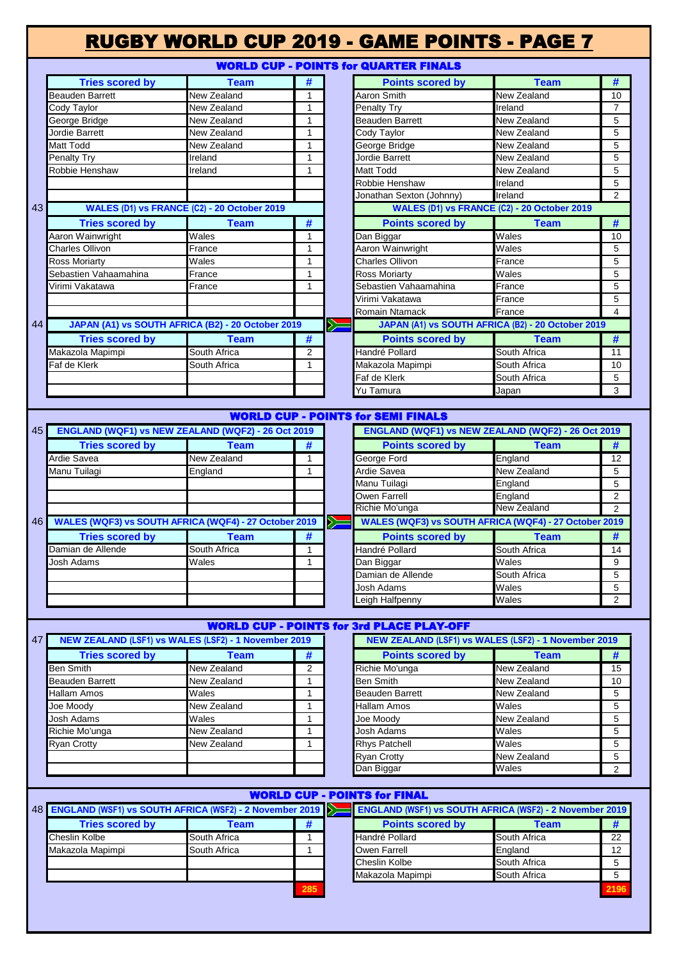#### RUGBY WORLD CUP 2019 - GAME POINTS - PAGE 7 WORLD CUP - POINTS for QUARTER FINALS **Tries scored by Team # Points scored by Team #** Beauden Barrett **New Zealand** 1 Aaron Smith New Zealand 10 Cody Taylor **New Zealand** 1 | Penalty Try Ireland 7 7 George Bridge New Zealand 1 Beauden Barrett New Zealand 5 Jordie Barrett New Zealand Cody Taylor New Zealand 5 Matt Todd **New Zealand** 1 George Bridge New Zealand 5 Penalty Try **Industrial Ireland 1** 1 **Jordie Barrett New Zealand** 5 Robbie Henshaw **Ireland** 1 Matt Todd New Zealand 5 Robbie Henshaw Ireland 5 Jonathan Sexton (Johnny) Ireland 2 **WALES (D1) vs FRANCE (C2) - 20 October 2019** 43 **WALES (D1) vs FRANCE (C2) - 20 October 2019 Tries scored by Team # Points scored by Team #** Aaron Wainwright **Wales 1 Dan Biggar National Wales** 10 Charles Ollivon **France France** 1 Aaron Wainwright Wales 5 5 Ross Moriarty **National Martias Community Charles Ollivon** France **1 5** Charles Ollivon Sebastien Vahaamahina France 1 Ross Moriarty Wales Wales 5 Virimi Vakatawa **France** France **1 Sebastien Vahaamahina** France 5 Virimi Vakatawa **France** 5 Romain Ntamack **France 1988 JAPAN (A1) vs SOUTH AFRICA (B2) - 20 October 2019 JAPAN (A1) vs SOUTH AFRICA (B2) - 20 October 2019** 44 **Tries scored by Team # Points scored by Team #** Makazola Mapimpi South Africa 2 Handré Pollard South Africa 11 Faf de Klerk **South Africa** 1 Makazola Mapimpi South Africa 10 Faf de Klerk **South Africa** 5 Yu Tamura Japan 3 WORLD CUP - POINTS for SEMI FINALS 45 **ENGLAND (WQF1) vs NEW ZEALAND (WQF2) - 26 Oct 2019 ENGLAND (WQF1) vs NEW ZEALAND (WQF2) - 26 Oct 2019 Tries scored by Team # Points scored by Team #** Ardie Savea New Zealand 1 1 George Ford England 12 Manu Tuilagi England 1 **a** Ardie Savea New Zealand 5 Manu Tuilagi **England** 5 Owen Farrell **England** 2 Richie Mo'unga **New Zealand** 2 46 **WALES (WQF3) vs SOUTH AFRICA (WQF4) - 27 October 2019**  $\geq$ **WALES (WQF3) vs SOUTH AFRICA (WQF4) - 27 October 2019 Tries scored by Team # Points scored by Team #** Damian de Allende South Africa 1 Handré Pollard South Africa 14 Josh Adams Wales 1 Dan Biggar Wales 9 Damian de Allende **South Africa** 5 Josh Adams **Males Wales** 5 Leigh Halfpenny Wales 2 WORLD CUP - POINTS for 3rd PLACE PLAY-OFF **NEW ZEALAND (LSF1) vs WALES (LSF2) - 1 November 2019 NEW ZEALAND (LSF1) vs WALES (LSF2) - 1 November 2019** 47 **Tries scored by Team # Points scored by Team #** Ben Smith New Zealand 2 Richie Mo'unga New Zealand 15 Beauden Barrett New Zealand 1 Ben Smith New Zealand 10 Hallam Amos **1 Beauden Barrett** New Zealand 1 Beauden Barrett New Zealand 1 5 Joe Moody New Zealand 1 Hallam Amos Wales 5 Josh Adams Wales 1 Joe Moody New Zealand 5 Richie Mo'unga New Zealand 1 Josh Adams Wales 5 Ryan Crotty **New Zealand** 1 Rhys Patchell Wales 5 Ryan Crotty **New Zealand** 5 Dan Biggar **2** Wales 2 WORLD CUP - POINTS for FINAL**ENGLAND (WSF1) vs SOUTH AFRICA (WSF2) - 2 November 2019** 48 **ENGLAND (WSF1) vs SOUTH AFRICA (WSF2) - 2 November 2019 Tries scored by Team # Points scored by Team #** Cheslin Kolbe **South Africa** 1 Handré Pollard South Africa 22 Makazola Mapimpi South Africa 1 D Owen Farrell England 12 Cheslin Kolbe **South Africa** 5 Makazola Mapimpi **South Africa** 5 **285 2196**